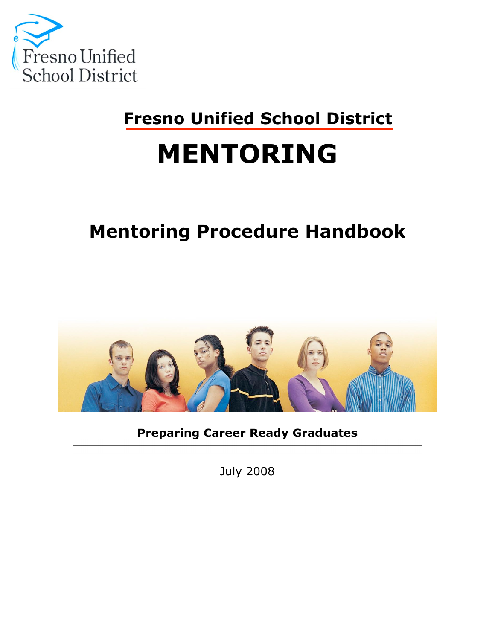

# **Fresno Unified School District**

# **MENTORING**

# **Mentoring Procedure Handbook**



**Preparing Career Ready Graduates**

July 2008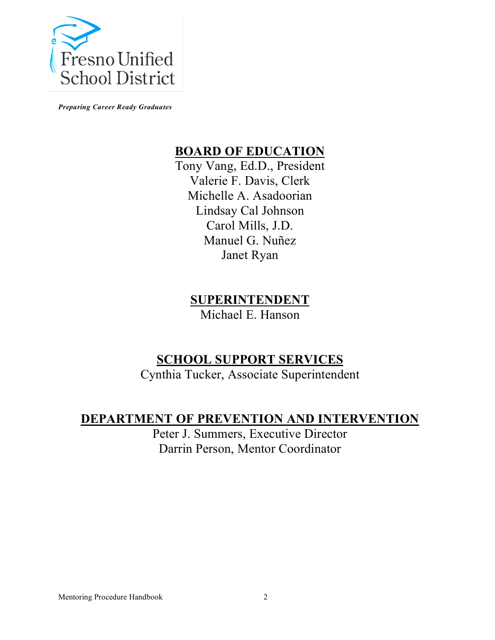

*Preparing Career Ready Graduates*

#### **BOARD OF EDUCATION**

Tony Vang, Ed.D., President Valerie F. Davis, Clerk Michelle A. Asadoorian Lindsay Cal Johnson Carol Mills, J.D. Manuel G. Nuñez Janet Ryan

#### **SUPERINTENDENT**

Michael E. Hanson

# **SCHOOL SUPPORT SERVICES**

Cynthia Tucker, Associate Superintendent

### **DEPARTMENT OF PREVENTION AND INTERVENTION**

Peter J. Summers, Executive Director Darrin Person, Mentor Coordinator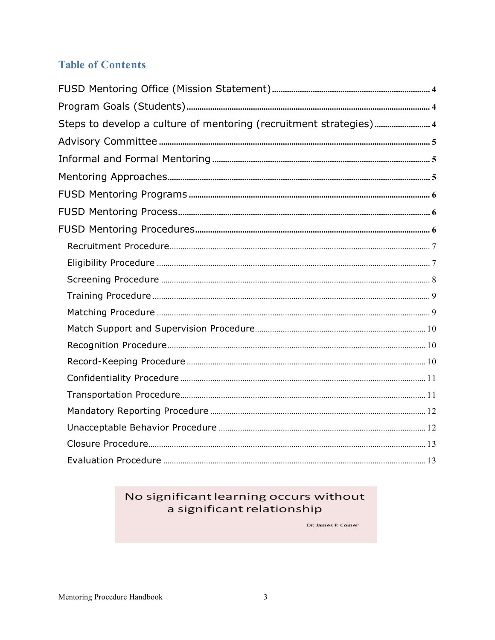#### **Table of Contents**

| Steps to develop a culture of mentoring (recruitment strategies) 4 |  |
|--------------------------------------------------------------------|--|
|                                                                    |  |
|                                                                    |  |
|                                                                    |  |
|                                                                    |  |
|                                                                    |  |
|                                                                    |  |
|                                                                    |  |
|                                                                    |  |
|                                                                    |  |
|                                                                    |  |
|                                                                    |  |
|                                                                    |  |
|                                                                    |  |
|                                                                    |  |
|                                                                    |  |
|                                                                    |  |
|                                                                    |  |
|                                                                    |  |
|                                                                    |  |
|                                                                    |  |

#### No significant learning occurs without a significant relationship

Dr. James P. Comer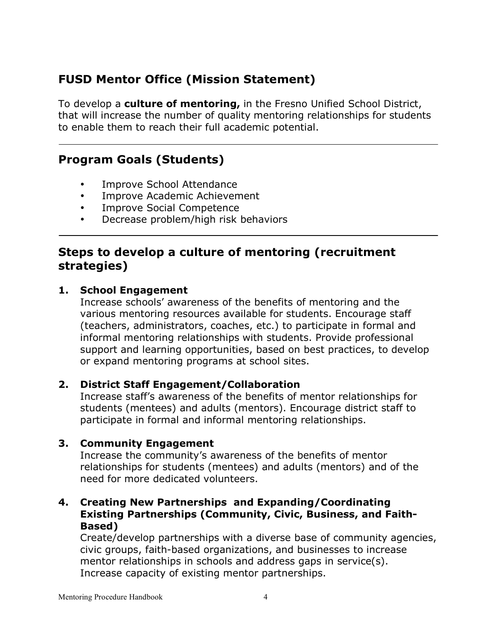# **FUSD Mentor Office (Mission Statement)**

To develop a **culture of mentoring,** in the Fresno Unified School District, that will increase the number of quality mentoring relationships for students to enable them to reach their full academic potential.

### **Program Goals (Students)**

- Improve School Attendance
- Improve Academic Achievement
- Improve Social Competence
- Decrease problem/high risk behaviors

#### **Steps to develop a culture of mentoring (recruitment strategies)**

#### **1. School Engagement**

Increase schools' awareness of the benefits of mentoring and the various mentoring resources available for students. Encourage staff (teachers, administrators, coaches, etc.) to participate in formal and informal mentoring relationships with students. Provide professional support and learning opportunities, based on best practices, to develop or expand mentoring programs at school sites.

#### **2. District Staff Engagement/Collaboration**

Increase staff's awareness of the benefits of mentor relationships for students (mentees) and adults (mentors). Encourage district staff to participate in formal and informal mentoring relationships.

#### **3. Community Engagement**

Increase the community's awareness of the benefits of mentor relationships for students (mentees) and adults (mentors) and of the need for more dedicated volunteers.

#### **4. Creating New Partnerships and Expanding/Coordinating Existing Partnerships (Community, Civic, Business, and Faith-Based)**

Create/develop partnerships with a diverse base of community agencies, civic groups, faith-based organizations, and businesses to increase mentor relationships in schools and address gaps in service(s). Increase capacity of existing mentor partnerships.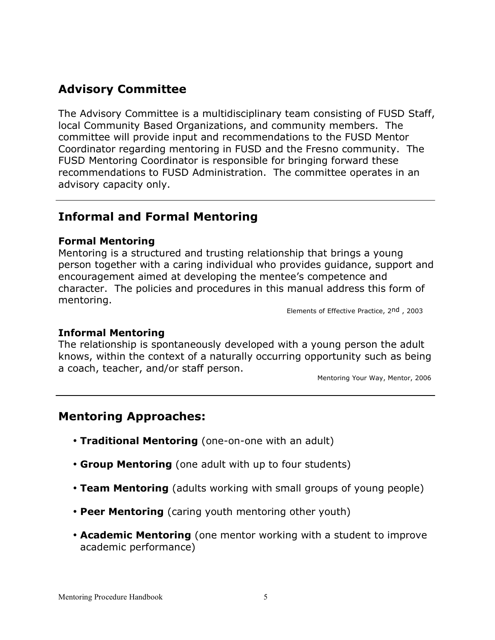# **Advisory Committee**

The Advisory Committee is a multidisciplinary team consisting of FUSD Staff, local Community Based Organizations, and community members. The committee will provide input and recommendations to the FUSD Mentor Coordinator regarding mentoring in FUSD and the Fresno community. The FUSD Mentoring Coordinator is responsible for bringing forward these recommendations to FUSD Administration. The committee operates in an advisory capacity only.

#### **Informal and Formal Mentoring**

#### **Formal Mentoring**

Mentoring is a structured and trusting relationship that brings a young person together with a caring individual who provides guidance, support and encouragement aimed at developing the mentee's competence and character. The policies and procedures in this manual address this form of mentoring.

Elements of Effective Practice, 2nd , 2003

#### **Informal Mentoring**

The relationship is spontaneously developed with a young person the adult knows, within the context of a naturally occurring opportunity such as being a coach, teacher, and/or staff person.

Mentoring Your Way, Mentor, 2006

#### **Mentoring Approaches:**

- **Traditional Mentoring** (one-on-one with an adult)
- **Group Mentoring** (one adult with up to four students)
- **Team Mentoring** (adults working with small groups of young people)
- **Peer Mentoring** (caring youth mentoring other youth)
- **Academic Mentoring** (one mentor working with a student to improve academic performance)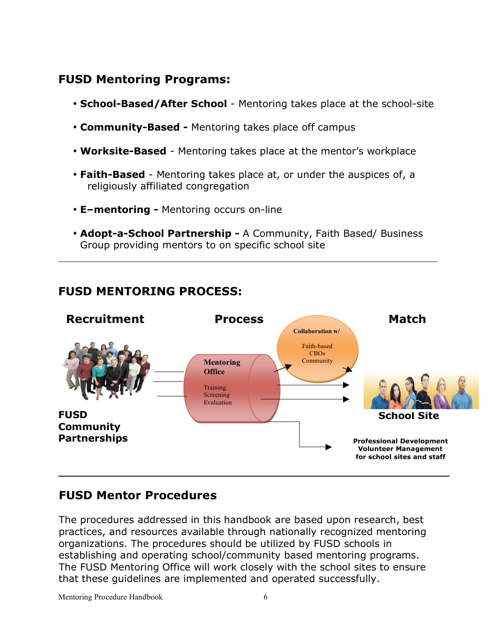### **FUSD Mentoring Programs:**

- **School-Based/After School** Mentoring takes place at the school-site
- **Community-Based -** Mentoring takes place off campus
- **Worksite-Based** Mentoring takes place at the mentor's workplace
- **Faith-Based** Mentoring takes place at, or under the auspices of, a religiously affiliated congregation
- **E–mentoring -** Mentoring occurs on-line
- **Adopt-a-School Partnership -** A Community, Faith Based/ Business Group providing mentors to on specific school site



#### **FUSD MENTORING PROCESS:**

### **FUSD Mentor Procedures**

The procedures addressed in this handbook are based upon research, best practices, and resources available through nationally recognized mentoring organizations. The procedures should be utilized by FUSD schools in establishing and operating school/community based mentoring programs. The FUSD Mentoring Office will work closely with the school sites to ensure that these guidelines are implemented and operated successfully.

Mentoring Procedure Handbook 6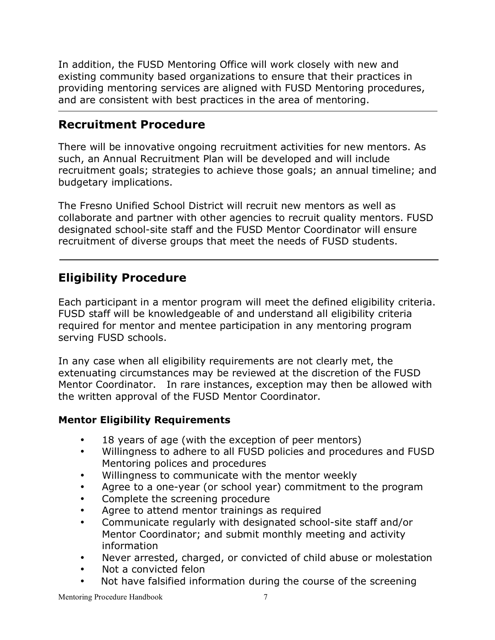In addition, the FUSD Mentoring Office will work closely with new and existing community based organizations to ensure that their practices in providing mentoring services are aligned with FUSD Mentoring procedures, and are consistent with best practices in the area of mentoring.

#### **Recruitment Procedure**

There will be innovative ongoing recruitment activities for new mentors. As such, an Annual Recruitment Plan will be developed and will include recruitment goals; strategies to achieve those goals; an annual timeline; and budgetary implications.

The Fresno Unified School District will recruit new mentors as well as collaborate and partner with other agencies to recruit quality mentors. FUSD designated school-site staff and the FUSD Mentor Coordinator will ensure recruitment of diverse groups that meet the needs of FUSD students.

# **Eligibility Procedure**

Each participant in a mentor program will meet the defined eligibility criteria. FUSD staff will be knowledgeable of and understand all eligibility criteria required for mentor and mentee participation in any mentoring program serving FUSD schools.

In any case when all eligibility requirements are not clearly met, the extenuating circumstances may be reviewed at the discretion of the FUSD Mentor Coordinator. In rare instances, exception may then be allowed with the written approval of the FUSD Mentor Coordinator.

#### **Mentor Eligibility Requirements**

- 18 years of age (with the exception of peer mentors)
- Willingness to adhere to all FUSD policies and procedures and FUSD Mentoring polices and procedures
- Willingness to communicate with the mentor weekly
- Agree to a one-year (or school year) commitment to the program
- Complete the screening procedure
- Agree to attend mentor trainings as required
- Communicate regularly with designated school-site staff and/or Mentor Coordinator; and submit monthly meeting and activity information
- Never arrested, charged, or convicted of child abuse or molestation
- Not a convicted felon
- Not have falsified information during the course of the screening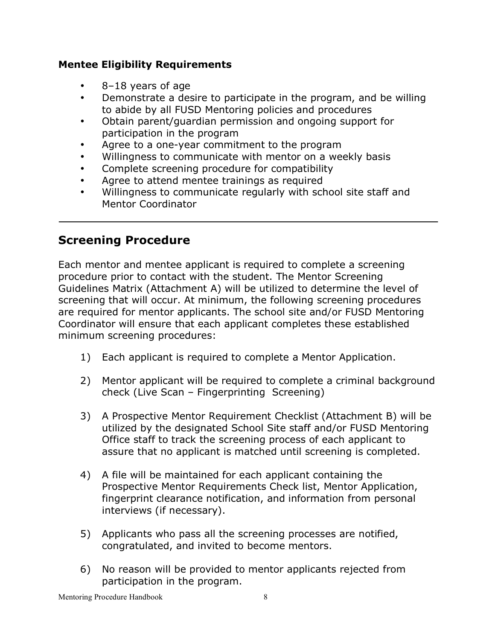#### **Mentee Eligibility Requirements**

- 8–18 years of age
- Demonstrate a desire to participate in the program, and be willing to abide by all FUSD Mentoring policies and procedures
- Obtain parent/guardian permission and ongoing support for participation in the program
- Agree to a one-year commitment to the program
- Willingness to communicate with mentor on a weekly basis
- Complete screening procedure for compatibility
- Agree to attend mentee trainings as required
- Willingness to communicate regularly with school site staff and Mentor Coordinator

# **Screening Procedure**

Each mentor and mentee applicant is required to complete a screening procedure prior to contact with the student. The Mentor Screening Guidelines Matrix (Attachment A) will be utilized to determine the level of screening that will occur. At minimum, the following screening procedures are required for mentor applicants. The school site and/or FUSD Mentoring Coordinator will ensure that each applicant completes these established minimum screening procedures:

- 1) Each applicant is required to complete a Mentor Application.
- 2) Mentor applicant will be required to complete a criminal background check (Live Scan – Fingerprinting Screening)
- 3) A Prospective Mentor Requirement Checklist (Attachment B) will be utilized by the designated School Site staff and/or FUSD Mentoring Office staff to track the screening process of each applicant to assure that no applicant is matched until screening is completed.
- 4) A file will be maintained for each applicant containing the Prospective Mentor Requirements Check list, Mentor Application, fingerprint clearance notification, and information from personal interviews (if necessary).
- 5) Applicants who pass all the screening processes are notified, congratulated, and invited to become mentors.
- 6) No reason will be provided to mentor applicants rejected from participation in the program.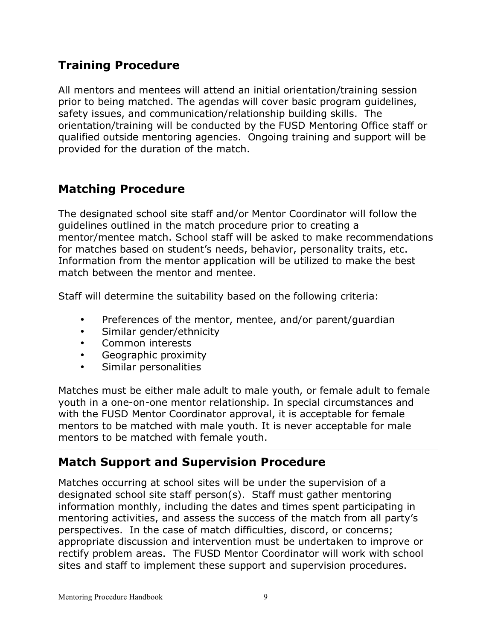# **Training Procedure**

All mentors and mentees will attend an initial orientation/training session prior to being matched. The agendas will cover basic program guidelines, safety issues, and communication/relationship building skills. The orientation/training will be conducted by the FUSD Mentoring Office staff or qualified outside mentoring agencies. Ongoing training and support will be provided for the duration of the match.

### **Matching Procedure**

The designated school site staff and/or Mentor Coordinator will follow the guidelines outlined in the match procedure prior to creating a mentor/mentee match. School staff will be asked to make recommendations for matches based on student's needs, behavior, personality traits, etc. Information from the mentor application will be utilized to make the best match between the mentor and mentee.

Staff will determine the suitability based on the following criteria:

- Preferences of the mentor, mentee, and/or parent/guardian
- Similar gender/ethnicity
- Common interests
- Geographic proximity
- Similar personalities

Matches must be either male adult to male youth, or female adult to female youth in a one-on-one mentor relationship. In special circumstances and with the FUSD Mentor Coordinator approval, it is acceptable for female mentors to be matched with male youth. It is never acceptable for male mentors to be matched with female youth.

#### **Match Support and Supervision Procedure**

Matches occurring at school sites will be under the supervision of a designated school site staff person(s). Staff must gather mentoring information monthly, including the dates and times spent participating in mentoring activities, and assess the success of the match from all party's perspectives. In the case of match difficulties, discord, or concerns; appropriate discussion and intervention must be undertaken to improve or rectify problem areas. The FUSD Mentor Coordinator will work with school sites and staff to implement these support and supervision procedures.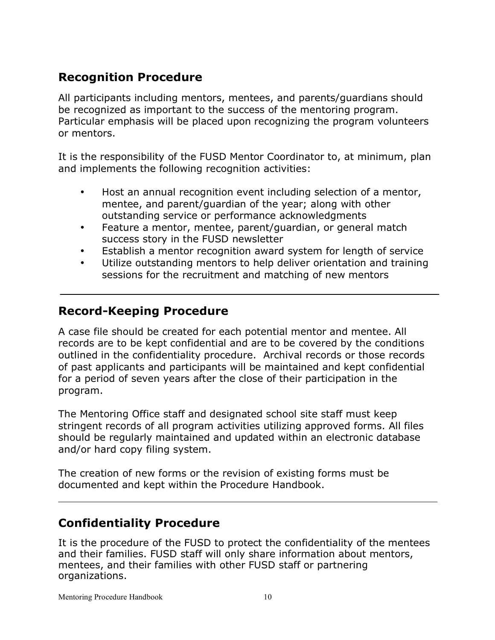# **Recognition Procedure**

All participants including mentors, mentees, and parents/guardians should be recognized as important to the success of the mentoring program. Particular emphasis will be placed upon recognizing the program volunteers or mentors.

It is the responsibility of the FUSD Mentor Coordinator to, at minimum, plan and implements the following recognition activities:

- Host an annual recognition event including selection of a mentor, mentee, and parent/guardian of the year; along with other outstanding service or performance acknowledgments
- Feature a mentor, mentee, parent/guardian, or general match success story in the FUSD newsletter
- Establish a mentor recognition award system for length of service
- Utilize outstanding mentors to help deliver orientation and training sessions for the recruitment and matching of new mentors

#### **Record-Keeping Procedure**

A case file should be created for each potential mentor and mentee. All records are to be kept confidential and are to be covered by the conditions outlined in the confidentiality procedure. Archival records or those records of past applicants and participants will be maintained and kept confidential for a period of seven years after the close of their participation in the program.

The Mentoring Office staff and designated school site staff must keep stringent records of all program activities utilizing approved forms. All files should be regularly maintained and updated within an electronic database and/or hard copy filing system.

The creation of new forms or the revision of existing forms must be documented and kept within the Procedure Handbook.

### **Confidentiality Procedure**

It is the procedure of the FUSD to protect the confidentiality of the mentees and their families. FUSD staff will only share information about mentors, mentees, and their families with other FUSD staff or partnering organizations.

Mentoring Procedure Handbook 10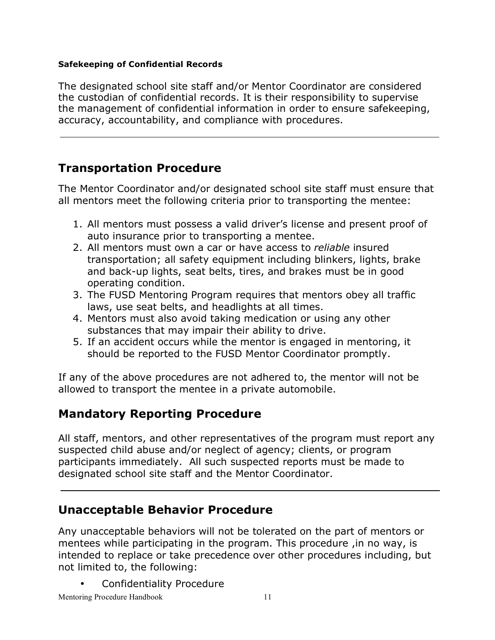#### **Safekeeping of Confidential Records**

The designated school site staff and/or Mentor Coordinator are considered the custodian of confidential records. It is their responsibility to supervise the management of confidential information in order to ensure safekeeping, accuracy, accountability, and compliance with procedures.

# **Transportation Procedure**

The Mentor Coordinator and/or designated school site staff must ensure that all mentors meet the following criteria prior to transporting the mentee:

- 1. All mentors must possess a valid driver's license and present proof of auto insurance prior to transporting a mentee.
- 2. All mentors must own a car or have access to *reliable* insured transportation; all safety equipment including blinkers, lights, brake and back-up lights, seat belts, tires, and brakes must be in good operating condition.
- 3. The FUSD Mentoring Program requires that mentors obey all traffic laws, use seat belts, and headlights at all times.
- 4. Mentors must also avoid taking medication or using any other substances that may impair their ability to drive.
- 5. If an accident occurs while the mentor is engaged in mentoring, it should be reported to the FUSD Mentor Coordinator promptly.

If any of the above procedures are not adhered to, the mentor will not be allowed to transport the mentee in a private automobile.

# **Mandatory Reporting Procedure**

All staff, mentors, and other representatives of the program must report any suspected child abuse and/or neglect of agency; clients, or program participants immediately. All such suspected reports must be made to designated school site staff and the Mentor Coordinator.

### **Unacceptable Behavior Procedure**

Any unacceptable behaviors will not be tolerated on the part of mentors or mentees while participating in the program. This procedure ,in no way, is intended to replace or take precedence over other procedures including, but not limited to, the following:

• Confidentiality Procedure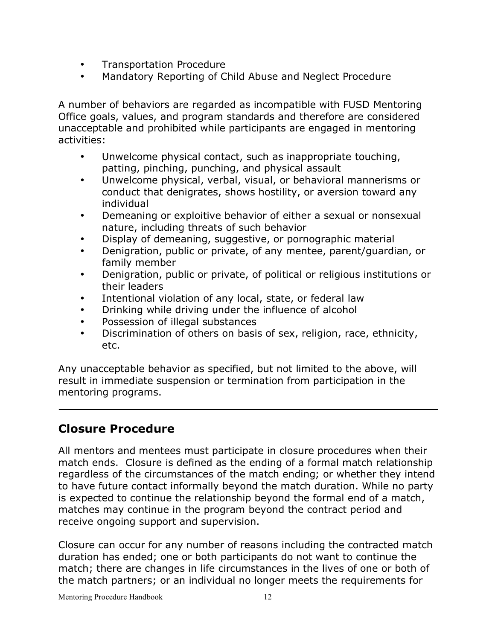- Transportation Procedure
- Mandatory Reporting of Child Abuse and Neglect Procedure

A number of behaviors are regarded as incompatible with FUSD Mentoring Office goals, values, and program standards and therefore are considered unacceptable and prohibited while participants are engaged in mentoring activities:

- Unwelcome physical contact, such as inappropriate touching, patting, pinching, punching, and physical assault
- Unwelcome physical, verbal, visual, or behavioral mannerisms or conduct that denigrates, shows hostility, or aversion toward any individual
- Demeaning or exploitive behavior of either a sexual or nonsexual nature, including threats of such behavior
- Display of demeaning, suggestive, or pornographic material
- Denigration, public or private, of any mentee, parent/guardian, or family member
- Denigration, public or private, of political or religious institutions or their leaders
- Intentional violation of any local, state, or federal law
- Drinking while driving under the influence of alcohol
- Possession of illegal substances
- Discrimination of others on basis of sex, religion, race, ethnicity, etc.

Any unacceptable behavior as specified, but not limited to the above, will result in immediate suspension or termination from participation in the mentoring programs.

### **Closure Procedure**

All mentors and mentees must participate in closure procedures when their match ends. Closure is defined as the ending of a formal match relationship regardless of the circumstances of the match ending; or whether they intend to have future contact informally beyond the match duration. While no party is expected to continue the relationship beyond the formal end of a match, matches may continue in the program beyond the contract period and receive ongoing support and supervision.

Closure can occur for any number of reasons including the contracted match duration has ended; one or both participants do not want to continue the match; there are changes in life circumstances in the lives of one or both of the match partners; or an individual no longer meets the requirements for

Mentoring Procedure Handbook 12